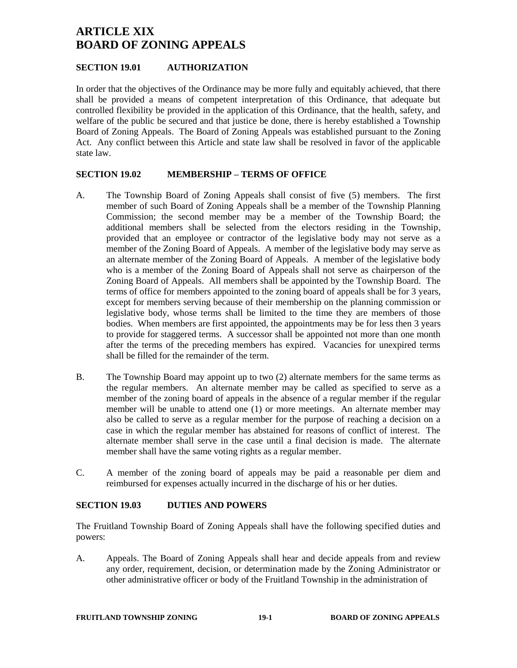# **ARTICLE XIX BOARD OF ZONING APPEALS**

# **SECTION 19.01 AUTHORIZATION**

In order that the objectives of the Ordinance may be more fully and equitably achieved, that there shall be provided a means of competent interpretation of this Ordinance, that adequate but controlled flexibility be provided in the application of this Ordinance, that the health, safety, and welfare of the public be secured and that justice be done, there is hereby established a Township Board of Zoning Appeals. The Board of Zoning Appeals was established pursuant to the Zoning Act. Any conflict between this Article and state law shall be resolved in favor of the applicable state law.

### **SECTION 19.02 MEMBERSHIP – TERMS OF OFFICE**

- A. The Township Board of Zoning Appeals shall consist of five (5) members. The first member of such Board of Zoning Appeals shall be a member of the Township Planning Commission; the second member may be a member of the Township Board; the additional members shall be selected from the electors residing in the Township, provided that an employee or contractor of the legislative body may not serve as a member of the Zoning Board of Appeals. A member of the legislative body may serve as an alternate member of the Zoning Board of Appeals. A member of the legislative body who is a member of the Zoning Board of Appeals shall not serve as chairperson of the Zoning Board of Appeals. All members shall be appointed by the Township Board. The terms of office for members appointed to the zoning board of appeals shall be for 3 years, except for members serving because of their membership on the planning commission or legislative body, whose terms shall be limited to the time they are members of those bodies. When members are first appointed, the appointments may be for less then 3 years to provide for staggered terms. A successor shall be appointed not more than one month after the terms of the preceding members has expired. Vacancies for unexpired terms shall be filled for the remainder of the term.
- B. The Township Board may appoint up to two (2) alternate members for the same terms as the regular members. An alternate member may be called as specified to serve as a member of the zoning board of appeals in the absence of a regular member if the regular member will be unable to attend one (1) or more meetings. An alternate member may also be called to serve as a regular member for the purpose of reaching a decision on a case in which the regular member has abstained for reasons of conflict of interest. The alternate member shall serve in the case until a final decision is made. The alternate member shall have the same voting rights as a regular member.
- C. A member of the zoning board of appeals may be paid a reasonable per diem and reimbursed for expenses actually incurred in the discharge of his or her duties.

### **SECTION 19.03 DUTIES AND POWERS**

The Fruitland Township Board of Zoning Appeals shall have the following specified duties and powers:

A. Appeals. The Board of Zoning Appeals shall hear and decide appeals from and review any order, requirement, decision, or determination made by the Zoning Administrator or other administrative officer or body of the Fruitland Township in the administration of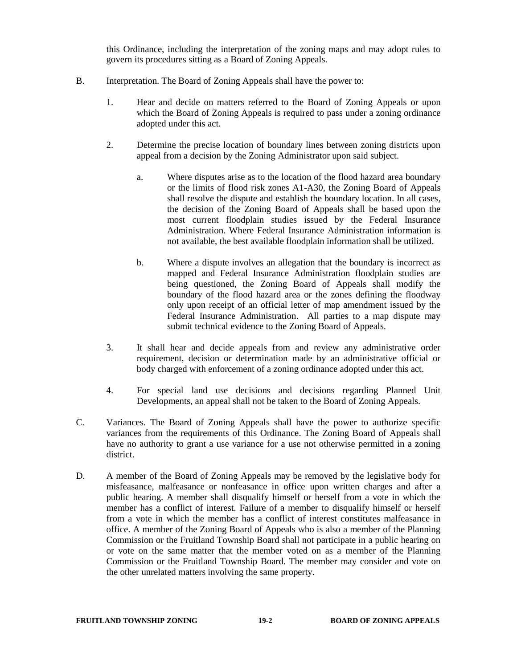this Ordinance, including the interpretation of the zoning maps and may adopt rules to govern its procedures sitting as a Board of Zoning Appeals.

- B. Interpretation. The Board of Zoning Appeals shall have the power to:
	- 1. Hear and decide on matters referred to the Board of Zoning Appeals or upon which the Board of Zoning Appeals is required to pass under a zoning ordinance adopted under this act.
	- 2. Determine the precise location of boundary lines between zoning districts upon appeal from a decision by the Zoning Administrator upon said subject.
		- a. Where disputes arise as to the location of the flood hazard area boundary or the limits of flood risk zones A1-A30, the Zoning Board of Appeals shall resolve the dispute and establish the boundary location. In all cases, the decision of the Zoning Board of Appeals shall be based upon the most current floodplain studies issued by the Federal Insurance Administration. Where Federal Insurance Administration information is not available, the best available floodplain information shall be utilized.
		- b. Where a dispute involves an allegation that the boundary is incorrect as mapped and Federal Insurance Administration floodplain studies are being questioned, the Zoning Board of Appeals shall modify the boundary of the flood hazard area or the zones defining the floodway only upon receipt of an official letter of map amendment issued by the Federal Insurance Administration. All parties to a map dispute may submit technical evidence to the Zoning Board of Appeals.
	- 3. It shall hear and decide appeals from and review any administrative order requirement, decision or determination made by an administrative official or body charged with enforcement of a zoning ordinance adopted under this act.
	- 4. For special land use decisions and decisions regarding Planned Unit Developments, an appeal shall not be taken to the Board of Zoning Appeals.
- C. Variances. The Board of Zoning Appeals shall have the power to authorize specific variances from the requirements of this Ordinance. The Zoning Board of Appeals shall have no authority to grant a use variance for a use not otherwise permitted in a zoning district.
- D. A member of the Board of Zoning Appeals may be removed by the legislative body for misfeasance, malfeasance or nonfeasance in office upon written charges and after a public hearing. A member shall disqualify himself or herself from a vote in which the member has a conflict of interest. Failure of a member to disqualify himself or herself from a vote in which the member has a conflict of interest constitutes malfeasance in office. A member of the Zoning Board of Appeals who is also a member of the Planning Commission or the Fruitland Township Board shall not participate in a public hearing on or vote on the same matter that the member voted on as a member of the Planning Commission or the Fruitland Township Board. The member may consider and vote on the other unrelated matters involving the same property.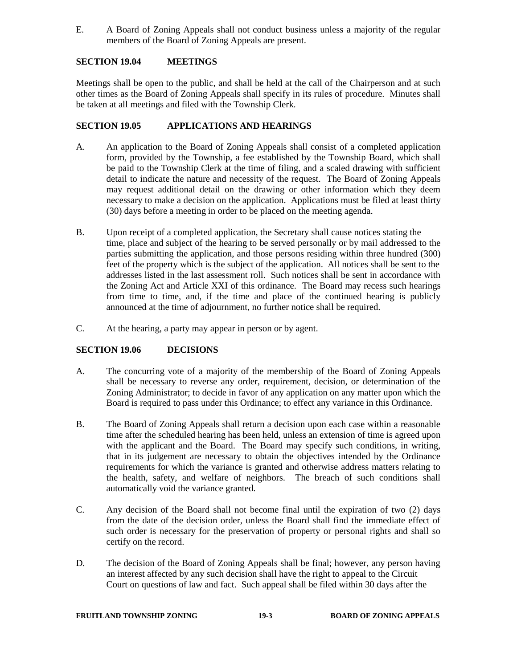E. A Board of Zoning Appeals shall not conduct business unless a majority of the regular members of the Board of Zoning Appeals are present.

# **SECTION 19.04 MEETINGS**

Meetings shall be open to the public, and shall be held at the call of the Chairperson and at such other times as the Board of Zoning Appeals shall specify in its rules of procedure. Minutes shall be taken at all meetings and filed with the Township Clerk.

# **SECTION 19.05 APPLICATIONS AND HEARINGS**

- A. An application to the Board of Zoning Appeals shall consist of a completed application form, provided by the Township, a fee established by the Township Board, which shall be paid to the Township Clerk at the time of filing, and a scaled drawing with sufficient detail to indicate the nature and necessity of the request. The Board of Zoning Appeals may request additional detail on the drawing or other information which they deem necessary to make a decision on the application. Applications must be filed at least thirty (30) days before a meeting in order to be placed on the meeting agenda.
- B. Upon receipt of a completed application, the Secretary shall cause notices stating the time, place and subject of the hearing to be served personally or by mail addressed to the parties submitting the application, and those persons residing within three hundred (300) feet of the property which is the subject of the application. All notices shall be sent to the addresses listed in the last assessment roll. Such notices shall be sent in accordance with the Zoning Act and Article XXI of this ordinance. The Board may recess such hearings from time to time, and, if the time and place of the continued hearing is publicly announced at the time of adjournment, no further notice shall be required.
- C. At the hearing, a party may appear in person or by agent.

# **SECTION 19.06 DECISIONS**

- A. The concurring vote of a majority of the membership of the Board of Zoning Appeals shall be necessary to reverse any order, requirement, decision, or determination of the Zoning Administrator; to decide in favor of any application on any matter upon which the Board is required to pass under this Ordinance; to effect any variance in this Ordinance.
- B. The Board of Zoning Appeals shall return a decision upon each case within a reasonable time after the scheduled hearing has been held, unless an extension of time is agreed upon with the applicant and the Board. The Board may specify such conditions, in writing, that in its judgement are necessary to obtain the objectives intended by the Ordinance requirements for which the variance is granted and otherwise address matters relating to the health, safety, and welfare of neighbors. The breach of such conditions shall automatically void the variance granted.
- C. Any decision of the Board shall not become final until the expiration of two (2) days from the date of the decision order, unless the Board shall find the immediate effect of such order is necessary for the preservation of property or personal rights and shall so certify on the record.
- D. The decision of the Board of Zoning Appeals shall be final; however, any person having an interest affected by any such decision shall have the right to appeal to the Circuit Court on questions of law and fact. Such appeal shall be filed within 30 days after the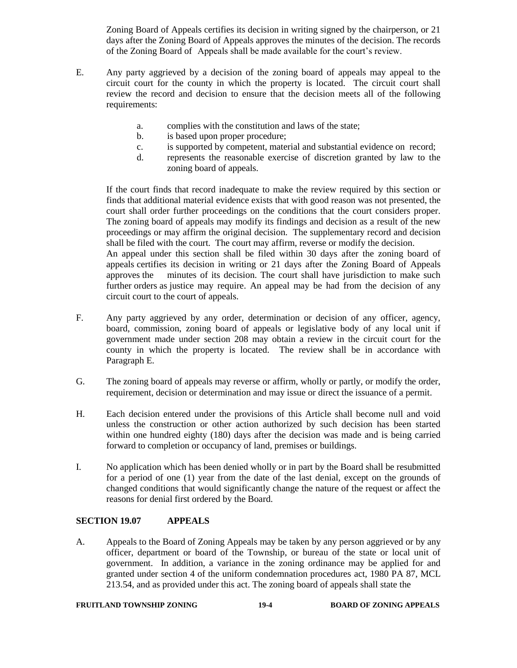Zoning Board of Appeals certifies its decision in writing signed by the chairperson, or 21 days after the Zoning Board of Appeals approves the minutes of the decision. The records of the Zoning Board of Appeals shall be made available for the court's review.

- E. Any party aggrieved by a decision of the zoning board of appeals may appeal to the circuit court for the county in which the property is located. The circuit court shall review the record and decision to ensure that the decision meets all of the following requirements:
	- a. complies with the constitution and laws of the state;
	- b. is based upon proper procedure;
	- c. is supported by competent, material and substantial evidence on record;
	- d. represents the reasonable exercise of discretion granted by law to the zoning board of appeals.

If the court finds that record inadequate to make the review required by this section or finds that additional material evidence exists that with good reason was not presented, the court shall order further proceedings on the conditions that the court considers proper. The zoning board of appeals may modify its findings and decision as a result of the new proceedings or may affirm the original decision. The supplementary record and decision shall be filed with the court. The court may affirm, reverse or modify the decision. An appeal under this section shall be filed within 30 days after the zoning board of

appeals certifies its decision in writing or 21 days after the Zoning Board of Appeals approves the minutes of its decision. The court shall have jurisdiction to make such further orders as justice may require. An appeal may be had from the decision of any circuit court to the court of appeals.

- F. Any party aggrieved by any order, determination or decision of any officer, agency, board, commission, zoning board of appeals or legislative body of any local unit if government made under section 208 may obtain a review in the circuit court for the county in which the property is located. The review shall be in accordance with Paragraph E.
- G. The zoning board of appeals may reverse or affirm, wholly or partly, or modify the order, requirement, decision or determination and may issue or direct the issuance of a permit.
- H. Each decision entered under the provisions of this Article shall become null and void unless the construction or other action authorized by such decision has been started within one hundred eighty (180) days after the decision was made and is being carried forward to completion or occupancy of land, premises or buildings.
- I. No application which has been denied wholly or in part by the Board shall be resubmitted for a period of one (1) year from the date of the last denial, except on the grounds of changed conditions that would significantly change the nature of the request or affect the reasons for denial first ordered by the Board.

# **SECTION 19.07 APPEALS**

A. Appeals to the Board of Zoning Appeals may be taken by any person aggrieved or by any officer, department or board of the Township, or bureau of the state or local unit of government. In addition, a variance in the zoning ordinance may be applied for and granted under section 4 of the uniform condemnation procedures act, 1980 PA 87, MCL 213.54, and as provided under this act. The zoning board of appeals shall state the

#### **FRUITLAND TOWNSHIP ZONING 19-4 BOARD OF ZONING APPEALS**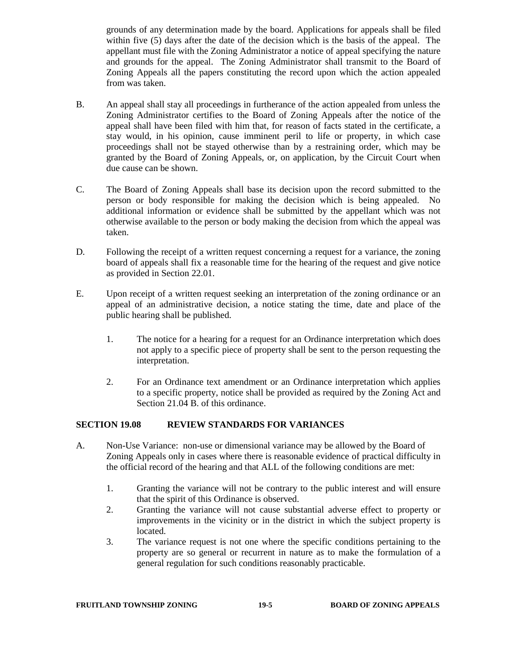grounds of any determination made by the board. Applications for appeals shall be filed within five (5) days after the date of the decision which is the basis of the appeal. The appellant must file with the Zoning Administrator a notice of appeal specifying the nature and grounds for the appeal. The Zoning Administrator shall transmit to the Board of Zoning Appeals all the papers constituting the record upon which the action appealed from was taken.

- B. An appeal shall stay all proceedings in furtherance of the action appealed from unless the Zoning Administrator certifies to the Board of Zoning Appeals after the notice of the appeal shall have been filed with him that, for reason of facts stated in the certificate, a stay would, in his opinion, cause imminent peril to life or property, in which case proceedings shall not be stayed otherwise than by a restraining order, which may be granted by the Board of Zoning Appeals, or, on application, by the Circuit Court when due cause can be shown.
- C. The Board of Zoning Appeals shall base its decision upon the record submitted to the person or body responsible for making the decision which is being appealed. No additional information or evidence shall be submitted by the appellant which was not otherwise available to the person or body making the decision from which the appeal was taken.
- D. Following the receipt of a written request concerning a request for a variance, the zoning board of appeals shall fix a reasonable time for the hearing of the request and give notice as provided in Section 22.01.
- E. Upon receipt of a written request seeking an interpretation of the zoning ordinance or an appeal of an administrative decision, a notice stating the time, date and place of the public hearing shall be published.
	- 1. The notice for a hearing for a request for an Ordinance interpretation which does not apply to a specific piece of property shall be sent to the person requesting the interpretation.
	- 2. For an Ordinance text amendment or an Ordinance interpretation which applies to a specific property, notice shall be provided as required by the Zoning Act and Section 21.04 B. of this ordinance.

# **SECTION 19.08 REVIEW STANDARDS FOR VARIANCES**

- A. Non-Use Variance: non-use or dimensional variance may be allowed by the Board of Zoning Appeals only in cases where there is reasonable evidence of practical difficulty in the official record of the hearing and that ALL of the following conditions are met:
	- 1. Granting the variance will not be contrary to the public interest and will ensure that the spirit of this Ordinance is observed.
	- 2. Granting the variance will not cause substantial adverse effect to property or improvements in the vicinity or in the district in which the subject property is located.
	- 3. The variance request is not one where the specific conditions pertaining to the property are so general or recurrent in nature as to make the formulation of a general regulation for such conditions reasonably practicable.